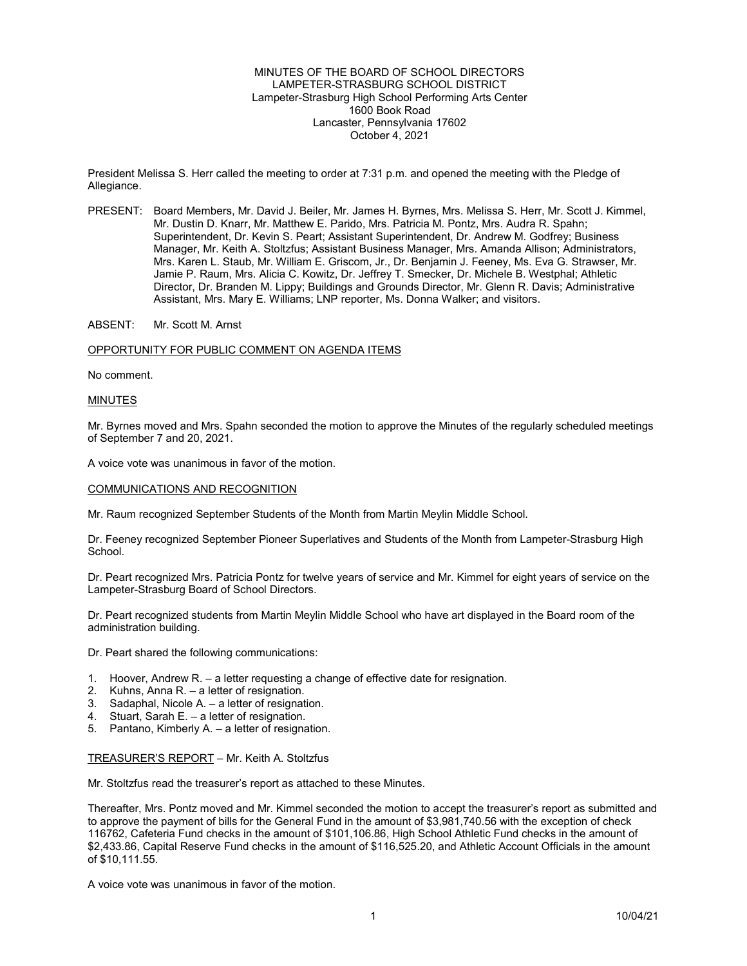MINUTES OF THE BOARD OF SCHOOL DIRECTORS LAMPETER-STRASBURG SCHOOL DISTRICT Lampeter-Strasburg High School Performing Arts Center 1600 Book Road Lancaster, Pennsylvania 17602 October 4, 2021

President Melissa S. Herr called the meeting to order at 7:31 p.m. and opened the meeting with the Pledge of Allegiance.

PRESENT: Board Members, Mr. David J. Beiler, Mr. James H. Byrnes, Mrs. Melissa S. Herr, Mr. Scott J. Kimmel, Mr. Dustin D. Knarr, Mr. Matthew E. Parido, Mrs. Patricia M. Pontz, Mrs. Audra R. Spahn; Superintendent, Dr. Kevin S. Peart; Assistant Superintendent, Dr. Andrew M. Godfrey; Business Manager, Mr. Keith A. Stoltzfus; Assistant Business Manager, Mrs. Amanda Allison; Administrators, Mrs. Karen L. Staub, Mr. William E. Griscom, Jr., Dr. Benjamin J. Feeney, Ms. Eva G. Strawser, Mr. Jamie P. Raum, Mrs. Alicia C. Kowitz, Dr. Jeffrey T. Smecker, Dr. Michele B. Westphal; Athletic Director, Dr. Branden M. Lippy; Buildings and Grounds Director, Mr. Glenn R. Davis; Administrative Assistant, Mrs. Mary E. Williams; LNP reporter, Ms. Donna Walker; and visitors.

ABSENT: Mr. Scott M. Arnst

### OPPORTUNITY FOR PUBLIC COMMENT ON AGENDA ITEMS

No comment.

### MINUTES

Mr. Byrnes moved and Mrs. Spahn seconded the motion to approve the Minutes of the regularly scheduled meetings of September 7 and 20, 2021.

A voice vote was unanimous in favor of the motion.

## COMMUNICATIONS AND RECOGNITION

Mr. Raum recognized September Students of the Month from Martin Meylin Middle School.

Dr. Feeney recognized September Pioneer Superlatives and Students of the Month from Lampeter-Strasburg High School.

Dr. Peart recognized Mrs. Patricia Pontz for twelve years of service and Mr. Kimmel for eight years of service on the Lampeter-Strasburg Board of School Directors.

Dr. Peart recognized students from Martin Meylin Middle School who have art displayed in the Board room of the administration building.

Dr. Peart shared the following communications:

- 1. Hoover, Andrew R. a letter requesting a change of effective date for resignation.
- 2. Kuhns, Anna R. a letter of resignation.
- 3. Sadaphal, Nicole A. a letter of resignation.
- 4. Stuart, Sarah E. a letter of resignation.
- 5. Pantano, Kimberly A. a letter of resignation.

# TREASURER'S REPORT – Mr. Keith A. Stoltzfus

Mr. Stoltzfus read the treasurer's report as attached to these Minutes.

Thereafter, Mrs. Pontz moved and Mr. Kimmel seconded the motion to accept the treasurer's report as submitted and to approve the payment of bills for the General Fund in the amount of \$3,981,740.56 with the exception of check 116762, Cafeteria Fund checks in the amount of \$101,106.86, High School Athletic Fund checks in the amount of \$2,433.86, Capital Reserve Fund checks in the amount of \$116,525.20, and Athletic Account Officials in the amount of \$10,111.55.

A voice vote was unanimous in favor of the motion.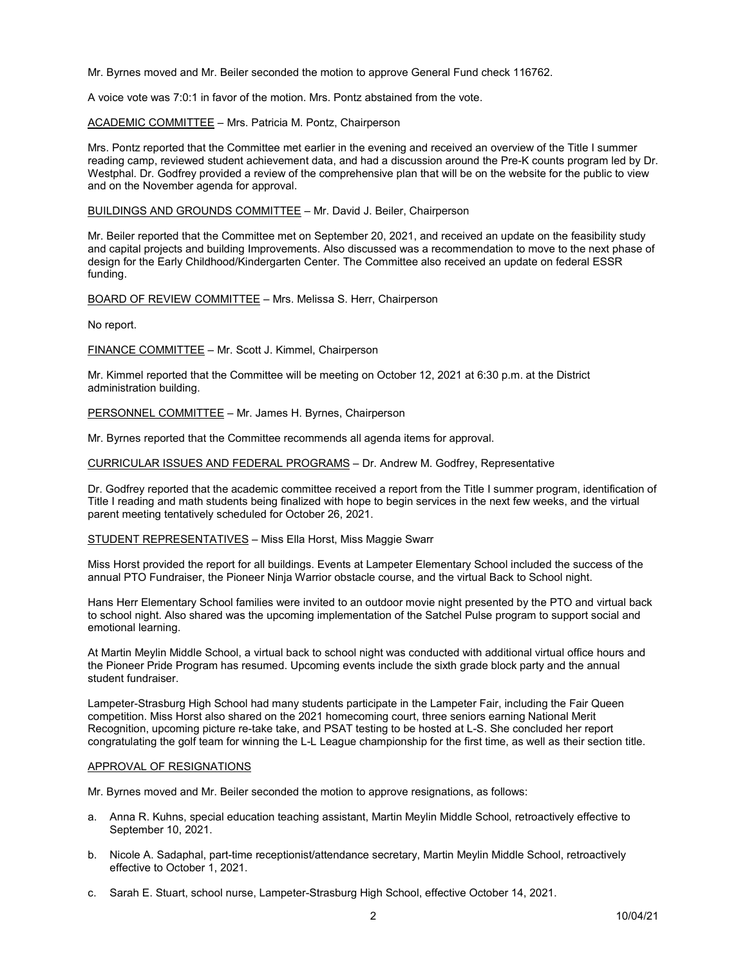Mr. Byrnes moved and Mr. Beiler seconded the motion to approve General Fund check 116762.

A voice vote was 7:0:1 in favor of the motion. Mrs. Pontz abstained from the vote.

ACADEMIC COMMITTEE – Mrs. Patricia M. Pontz, Chairperson

Mrs. Pontz reported that the Committee met earlier in the evening and received an overview of the Title I summer reading camp, reviewed student achievement data, and had a discussion around the Pre-K counts program led by Dr. Westphal. Dr. Godfrey provided a review of the comprehensive plan that will be on the website for the public to view and on the November agenda for approval.

BUILDINGS AND GROUNDS COMMITTEE – Mr. David J. Beiler, Chairperson

Mr. Beiler reported that the Committee met on September 20, 2021, and received an update on the feasibility study and capital projects and building Improvements. Also discussed was a recommendation to move to the next phase of design for the Early Childhood/Kindergarten Center. The Committee also received an update on federal ESSR funding.

BOARD OF REVIEW COMMITTEE – Mrs. Melissa S. Herr, Chairperson

No report.

FINANCE COMMITTEE – Mr. Scott J. Kimmel, Chairperson

Mr. Kimmel reported that the Committee will be meeting on October 12, 2021 at 6:30 p.m. at the District administration building.

PERSONNEL COMMITTEE – Mr. James H. Byrnes, Chairperson

Mr. Byrnes reported that the Committee recommends all agenda items for approval.

CURRICULAR ISSUES AND FEDERAL PROGRAMS – Dr. Andrew M. Godfrey, Representative

Dr. Godfrey reported that the academic committee received a report from the Title I summer program, identification of Title I reading and math students being finalized with hope to begin services in the next few weeks, and the virtual parent meeting tentatively scheduled for October 26, 2021.

STUDENT REPRESENTATIVES – Miss Ella Horst, Miss Maggie Swarr

Miss Horst provided the report for all buildings. Events at Lampeter Elementary School included the success of the annual PTO Fundraiser, the Pioneer Ninja Warrior obstacle course, and the virtual Back to School night.

Hans Herr Elementary School families were invited to an outdoor movie night presented by the PTO and virtual back to school night. Also shared was the upcoming implementation of the Satchel Pulse program to support social and emotional learning.

At Martin Meylin Middle School, a virtual back to school night was conducted with additional virtual office hours and the Pioneer Pride Program has resumed. Upcoming events include the sixth grade block party and the annual student fundraiser.

Lampeter-Strasburg High School had many students participate in the Lampeter Fair, including the Fair Queen competition. Miss Horst also shared on the 2021 homecoming court, three seniors earning National Merit Recognition, upcoming picture re-take take, and PSAT testing to be hosted at L-S. She concluded her report congratulating the golf team for winning the L-L League championship for the first time, as well as their section title.

### APPROVAL OF RESIGNATIONS

Mr. Byrnes moved and Mr. Beiler seconded the motion to approve resignations, as follows:

- a. Anna R. Kuhns, special education teaching assistant, Martin Meylin Middle School, retroactively effective to September 10, 2021.
- b. Nicole A. Sadaphal, part-time receptionist/attendance secretary, Martin Meylin Middle School, retroactively effective to October 1, 2021.
- c. Sarah E. Stuart, school nurse, Lampeter-Strasburg High School, effective October 14, 2021.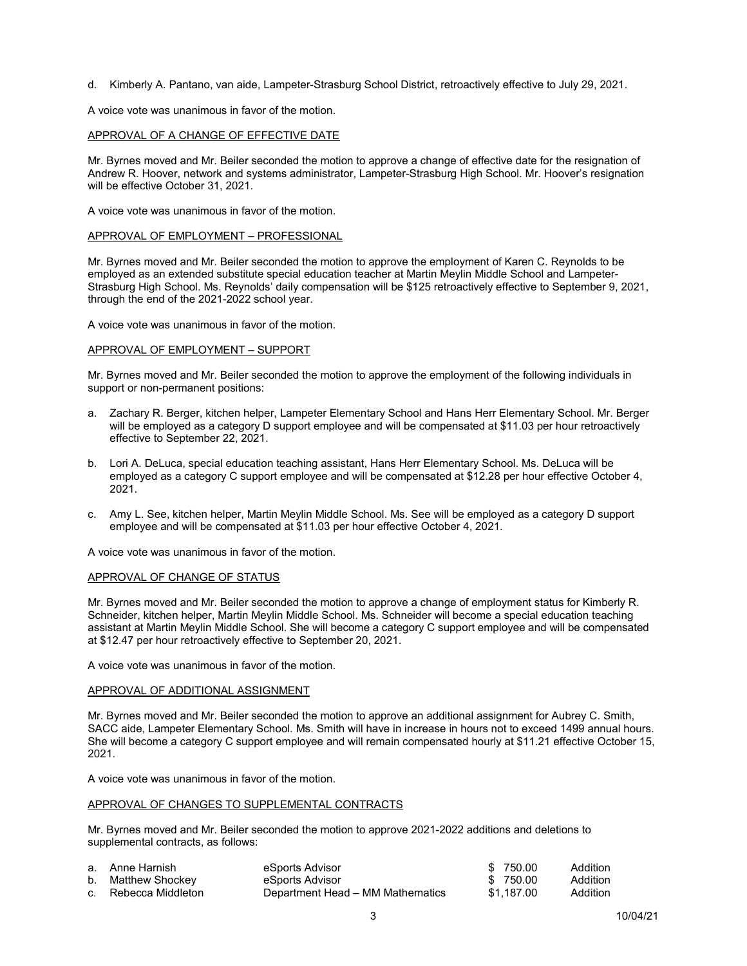d. Kimberly A. Pantano, van aide, Lampeter-Strasburg School District, retroactively effective to July 29, 2021.

A voice vote was unanimous in favor of the motion.

## APPROVAL OF A CHANGE OF EFFECTIVE DATE

Mr. Byrnes moved and Mr. Beiler seconded the motion to approve a change of effective date for the resignation of Andrew R. Hoover, network and systems administrator, Lampeter-Strasburg High School. Mr. Hoover's resignation will be effective October 31, 2021.

A voice vote was unanimous in favor of the motion.

## APPROVAL OF EMPLOYMENT – PROFESSIONAL

Mr. Byrnes moved and Mr. Beiler seconded the motion to approve the employment of Karen C. Reynolds to be employed as an extended substitute special education teacher at Martin Meylin Middle School and Lampeter-Strasburg High School. Ms. Reynolds' daily compensation will be \$125 retroactively effective to September 9, 2021, through the end of the 2021-2022 school year.

A voice vote was unanimous in favor of the motion.

### APPROVAL OF EMPLOYMENT – SUPPORT

Mr. Byrnes moved and Mr. Beiler seconded the motion to approve the employment of the following individuals in support or non-permanent positions:

- a. Zachary R. Berger, kitchen helper, Lampeter Elementary School and Hans Herr Elementary School. Mr. Berger will be employed as a category D support employee and will be compensated at \$11.03 per hour retroactively effective to September 22, 2021.
- b. Lori A. DeLuca, special education teaching assistant, Hans Herr Elementary School. Ms. DeLuca will be employed as a category C support employee and will be compensated at \$12.28 per hour effective October 4, 2021.
- c. Amy L. See, kitchen helper, Martin Meylin Middle School. Ms. See will be employed as a category D support employee and will be compensated at \$11.03 per hour effective October 4, 2021.

A voice vote was unanimous in favor of the motion.

## APPROVAL OF CHANGE OF STATUS

Mr. Byrnes moved and Mr. Beiler seconded the motion to approve a change of employment status for Kimberly R. Schneider, kitchen helper, Martin Meylin Middle School. Ms. Schneider will become a special education teaching assistant at Martin Meylin Middle School. She will become a category C support employee and will be compensated at \$12.47 per hour retroactively effective to September 20, 2021.

A voice vote was unanimous in favor of the motion.

## APPROVAL OF ADDITIONAL ASSIGNMENT

Mr. Byrnes moved and Mr. Beiler seconded the motion to approve an additional assignment for Aubrey C. Smith, SACC aide, Lampeter Elementary School. Ms. Smith will have in increase in hours not to exceed 1499 annual hours. She will become a category C support employee and will remain compensated hourly at \$11.21 effective October 15, 2021.

A voice vote was unanimous in favor of the motion.

# APPROVAL OF CHANGES TO SUPPLEMENTAL CONTRACTS

Mr. Byrnes moved and Mr. Beiler seconded the motion to approve 2021-2022 additions and deletions to supplemental contracts, as follows:

| a. Anne Harnish      | eSports Advisor                  | \$750.00   | Addition        |
|----------------------|----------------------------------|------------|-----------------|
| b. Matthew Shockey   | eSports Advisor                  | \$750.00   | Addition        |
| c. Rebecca Middleton | Department Head – MM Mathematics | \$1.187.00 | <b>Addition</b> |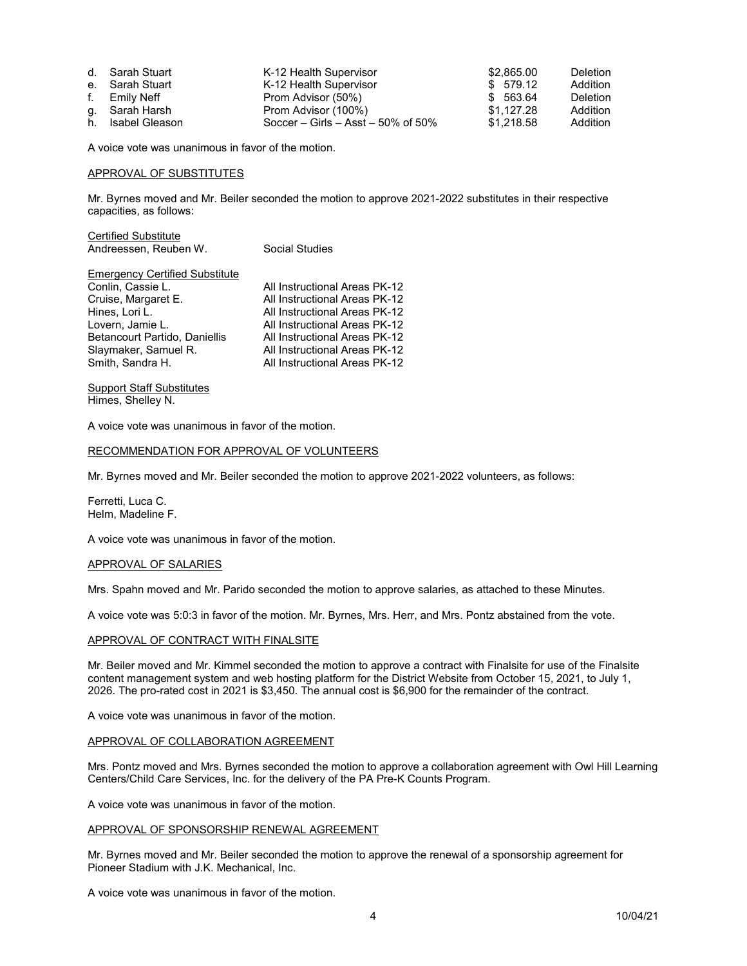| d. Sarah Stuart   | K-12 Health Supervisor             | \$2,865.00 | Deletion        |
|-------------------|------------------------------------|------------|-----------------|
| e. Sarah Stuart   | K-12 Health Supervisor             | \$579.12   | Addition        |
| f. Emily Neff     | Prom Advisor (50%)                 | \$ 563.64  | <b>Deletion</b> |
| g. Sarah Harsh    | Prom Advisor (100%)                | \$1.127.28 | <b>Addition</b> |
| h. Isabel Gleason | Soccer – Girls – Asst – 50% of 50% | \$1.218.58 | <b>Addition</b> |

A voice vote was unanimous in favor of the motion.

## APPROVAL OF SUBSTITUTES

Mr. Byrnes moved and Mr. Beiler seconded the motion to approve 2021-2022 substitutes in their respective capacities, as follows:

| <b>Certified Substitute</b><br>Andreessen, Reuben W.                                                                                                                                                 | Social Studies                                                                                                                                                                                                                      |
|------------------------------------------------------------------------------------------------------------------------------------------------------------------------------------------------------|-------------------------------------------------------------------------------------------------------------------------------------------------------------------------------------------------------------------------------------|
| <b>Emergency Certified Substitute</b><br>Conlin, Cassie L.<br>Cruise, Margaret E.<br>Hines, Lori L.<br>Lovern, Jamie L.<br>Betancourt Partido, Daniellis<br>Slaymaker, Samuel R.<br>Smith, Sandra H. | All Instructional Areas PK-12<br>All Instructional Areas PK-12<br>All Instructional Areas PK-12<br>All Instructional Areas PK-12<br>All Instructional Areas PK-12<br>All Instructional Areas PK-12<br>All Instructional Areas PK-12 |
|                                                                                                                                                                                                      |                                                                                                                                                                                                                                     |

Support Staff Substitutes Himes, Shelley N.

A voice vote was unanimous in favor of the motion.

## RECOMMENDATION FOR APPROVAL OF VOLUNTEERS

Mr. Byrnes moved and Mr. Beiler seconded the motion to approve 2021-2022 volunteers, as follows:

Ferretti, Luca C. Helm, Madeline F.

A voice vote was unanimous in favor of the motion.

## APPROVAL OF SALARIES

Mrs. Spahn moved and Mr. Parido seconded the motion to approve salaries, as attached to these Minutes.

A voice vote was 5:0:3 in favor of the motion. Mr. Byrnes, Mrs. Herr, and Mrs. Pontz abstained from the vote.

### APPROVAL OF CONTRACT WITH FINALSITE

Mr. Beiler moved and Mr. Kimmel seconded the motion to approve a contract with Finalsite for use of the Finalsite content management system and web hosting platform for the District Website from October 15, 2021, to July 1, 2026. The pro-rated cost in 2021 is \$3,450. The annual cost is \$6,900 for the remainder of the contract.

A voice vote was unanimous in favor of the motion.

### APPROVAL OF COLLABORATION AGREEMENT

Mrs. Pontz moved and Mrs. Byrnes seconded the motion to approve a collaboration agreement with Owl Hill Learning Centers/Child Care Services, Inc. for the delivery of the PA Pre-K Counts Program.

A voice vote was unanimous in favor of the motion.

#### APPROVAL OF SPONSORSHIP RENEWAL AGREEMENT

Mr. Byrnes moved and Mr. Beiler seconded the motion to approve the renewal of a sponsorship agreement for Pioneer Stadium with J.K. Mechanical, Inc.

A voice vote was unanimous in favor of the motion.